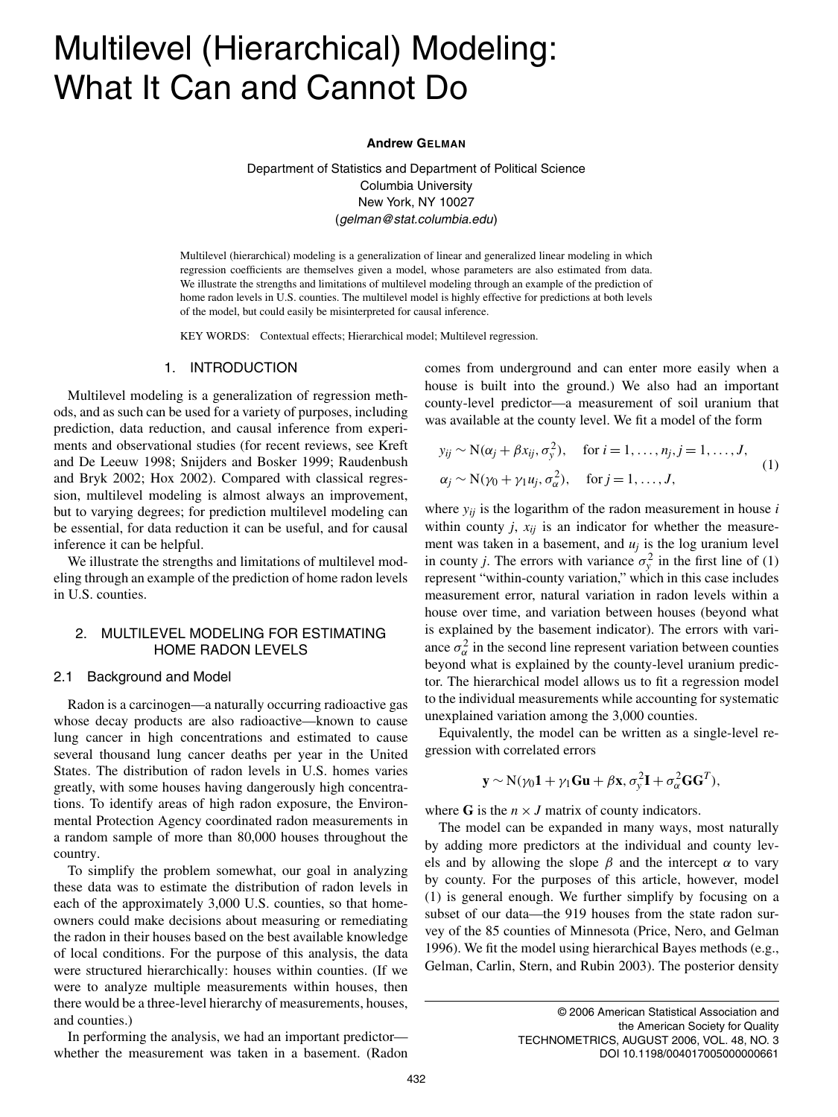# **Multilevel (Hierarchical) Modeling: What It Can and Cannot Do**

## **Andrew GELMAN**

Department of Statistics and Department of Political Science Columbia University New York, NY 10027 (gelman@stat.columbia.edu)

Multilevel (hierarchical) modeling is a generalization of linear and generalized linear modeling in which regression coefficients are themselves given a model, whose parameters are also estimated from data. We illustrate the strengths and limitations of multilevel modeling through an example of the prediction of home radon levels in U.S. counties. The multilevel model is highly effective for predictions at both levels of the model, but could easily be misinterpreted for causal inference.

KEY WORDS: Contextual effects; Hierarchical model; Multilevel regression.

# 1. INTRODUCTION

Multilevel modeling is a generalization of regression methods, and as such can be used for a variety of purposes, including prediction, data reduction, and causal inference from experiments and observational studies (for recent reviews, see Kreft and De Leeuw 1998; Snijders and Bosker 1999; Raudenbush and Bryk 2002; Hox 2002). Compared with classical regression, multilevel modeling is almost always an improvement, but to varying degrees; for prediction multilevel modeling can be essential, for data reduction it can be useful, and for causal inference it can be helpful.

We illustrate the strengths and limitations of multilevel modeling through an example of the prediction of home radon levels in U.S. counties.

# 2. MULTILEVEL MODELING FOR ESTIMATING **HOME RADON LEVELS**

#### **Background and Model**  $2.1$

Radon is a carcinogen—a naturally occurring radioactive gas whose decay products are also radioactive—known to cause lung cancer in high concentrations and estimated to cause several thousand lung cancer deaths per year in the United States. The distribution of radon levels in U.S. homes varies greatly, with some houses having dangerously high concentrations. To identify areas of high radon exposure, the Environmental Protection Agency coordinated radon measurements in a random sample of more than 80,000 houses throughout the country.

To simplify the problem somewhat, our goal in analyzing these data was to estimate the distribution of radon levels in each of the approximately 3,000 U.S. counties, so that homeowners could make decisions about measuring or remediating the radon in their houses based on the best available knowledge of local conditions. For the purpose of this analysis, the data were structured hierarchically: houses within counties. (If we were to analyze multiple measurements within houses, then there would be a three-level hierarchy of measurements, houses, and counties.)

In performing the analysis, we had an important predictor whether the measurement was taken in a basement. (Radon comes from underground and can enter more easily when a house is built into the ground.) We also had an important county-level predictor-a measurement of soil uranium that was available at the county level. We fit a model of the form

$$
y_{ij} \sim N(\alpha_j + \beta x_{ij}, \sigma_y^2), \quad \text{for } i = 1, \dots, n_j, j = 1, \dots, J,
$$
  

$$
\alpha_j \sim N(\gamma_0 + \gamma_1 u_j, \sigma_\alpha^2), \quad \text{for } j = 1, \dots, J,
$$
 (1)

where  $y_{ij}$  is the logarithm of the radon measurement in house i within county  $j$ ,  $x_{ij}$  is an indicator for whether the measurement was taken in a basement, and  $u_i$  is the log uranium level in county *j*. The errors with variance  $\sigma_v^2$  in the first line of (1) represent "within-county variation," which in this case includes measurement error, natural variation in radon levels within a house over time, and variation between houses (beyond what is explained by the basement indicator). The errors with variance  $\sigma_{\alpha}^2$  in the second line represent variation between counties beyond what is explained by the county-level uranium predictor. The hierarchical model allows us to fit a regression model to the individual measurements while accounting for systematic unexplained variation among the 3,000 counties.

Equivalently, the model can be written as a single-level regression with correlated errors

$$
\mathbf{y} \sim N(\gamma_0 \mathbf{1} + \gamma_1 \mathbf{G} \mathbf{u} + \beta \mathbf{x}, \sigma_v^2 \mathbf{I} + \sigma_\alpha^2 \mathbf{G} \mathbf{G}^T),
$$

where G is the  $n \times J$  matrix of county indicators.

The model can be expanded in many ways, most naturally by adding more predictors at the individual and county levels and by allowing the slope  $\beta$  and the intercept  $\alpha$  to vary by county. For the purposes of this article, however, model (1) is general enough. We further simplify by focusing on a subset of our data—the 919 houses from the state radon survey of the 85 counties of Minnesota (Price, Nero, and Gelman 1996). We fit the model using hierarchical Bayes methods (e.g., Gelman, Carlin, Stern, and Rubin 2003). The posterior density

<sup>© 2006</sup> American Statistical Association and the American Society for Quality TECHNOMETRICS, AUGUST 2006, VOL. 48, NO. 3 DOI 10.1198/004017005000000661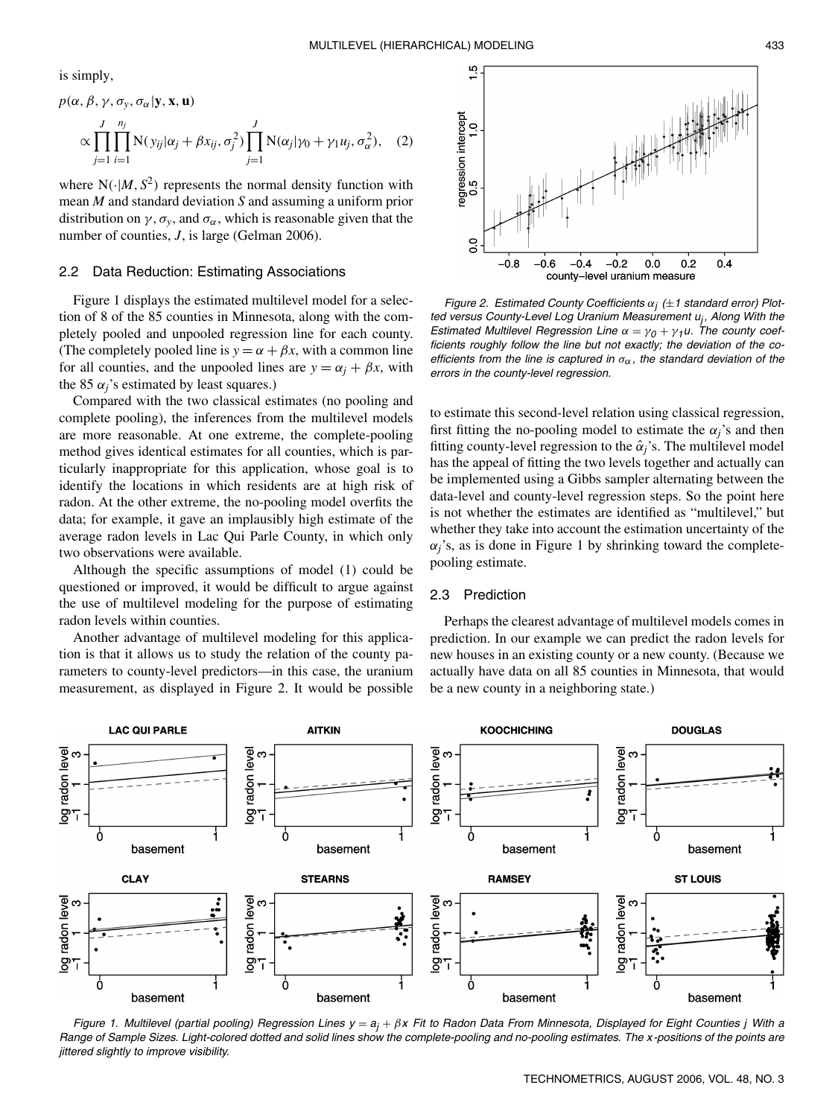is simply,

 $p(\alpha, \beta, \gamma, \sigma_{v}, \sigma_{\alpha} | \mathbf{y}, \mathbf{x}, \mathbf{u})$ 

$$
\propto \prod_{j=1}^{J} \prod_{i=1}^{n_j} \mathbf{N}(y_{ij}|\alpha_j + \beta x_{ij}, \sigma_j^2) \prod_{j=1}^{J} \mathbf{N}(\alpha_j|\gamma_0 + \gamma_1 u_j, \sigma_\alpha^2), \quad (2)
$$

where  $N(\cdot|M, S^2)$  represents the normal density function with mean  $M$  and standard deviation  $S$  and assuming a uniform prior distribution on  $\gamma$ ,  $\sigma_y$ , and  $\sigma_\alpha$ , which is reasonable given that the number of counties,  $J$ , is large (Gelman 2006).

#### Data Reduction: Estimating Associations  $2.2$

Figure 1 displays the estimated multilevel model for a selection of 8 of the 85 counties in Minnesota, along with the completely pooled and unpooled regression line for each county. (The completely pooled line is  $y = \alpha + \beta x$ , with a common line for all counties, and the unpooled lines are  $y = \alpha_i + \beta x$ , with the 85  $\alpha_i$ 's estimated by least squares.)

Compared with the two classical estimates (no pooling and complete pooling), the inferences from the multilevel models are more reasonable. At one extreme, the complete-pooling method gives identical estimates for all counties, which is particularly inappropriate for this application, whose goal is to identify the locations in which residents are at high risk of radon. At the other extreme, the no-pooling model overfits the data; for example, it gave an implausibly high estimate of the average radon levels in Lac Qui Parle County, in which only two observations were available.

Although the specific assumptions of model (1) could be questioned or improved, it would be difficult to argue against the use of multilevel modeling for the purpose of estimating radon levels within counties.

Another advantage of multilevel modeling for this application is that it allows us to study the relation of the county parameters to county-level predictors-in this case, the uranium measurement, as displayed in Figure 2. It would be possible



Figure 2. Estimated County Coefficients  $\alpha_j$  ( $\pm$ 1 standard error) Plotted versus County-Level Log Uranium Measurement u<sub>i</sub>, Along With the Estimated Multilevel Regression Line  $\alpha = \gamma_0 + \gamma_1 u$ . The county coefficients roughly follow the line but not exactly; the deviation of the coefficients from the line is captured in  $\sigma_{\alpha}$ , the standard deviation of the errors in the county-level regression.

to estimate this second-level relation using classical regression, first fitting the no-pooling model to estimate the  $\alpha_i$ 's and then fitting county-level regression to the  $\hat{\alpha}_i$ 's. The multilevel model has the appeal of fitting the two levels together and actually can be implemented using a Gibbs sampler alternating between the data-level and county-level regression steps. So the point here is not whether the estimates are identified as "multilevel," but whether they take into account the estimation uncertainty of the  $\alpha_i$ 's, as is done in Figure 1 by shrinking toward the completepooling estimate.

# 2.3 Prediction

Perhaps the clearest advantage of multilevel models comes in prediction. In our example we can predict the radon levels for new houses in an existing county or a new county. (Because we actually have data on all 85 counties in Minnesota, that would be a new county in a neighboring state.)



Figure 1. Multilevel (partial pooling) Regression Lines  $y = a_j + \beta x$  Fit to Radon Data From Minnesota, Displayed for Eight Counties j With a Range of Sample Sizes. Light-colored dotted and solid lines show the complete-pooling and no-pooling estimates. The x-positions of the points are jittered slightly to improve visibility.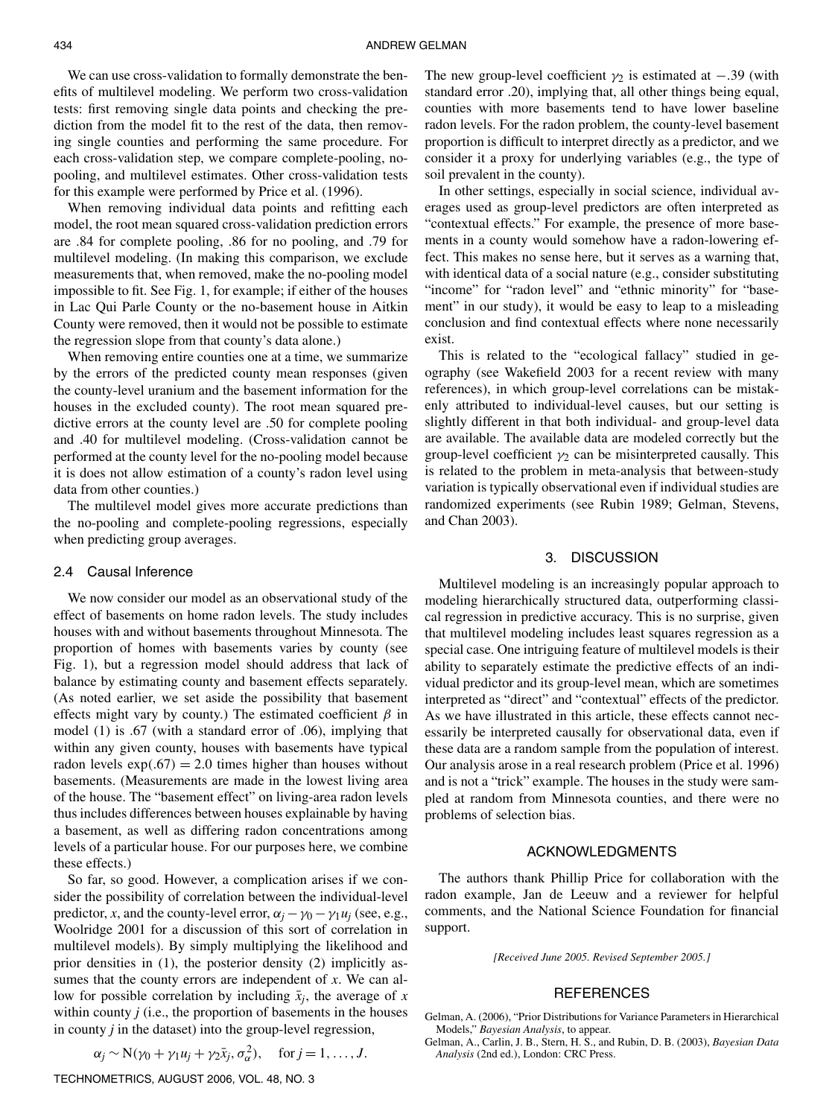We can use cross-validation to formally demonstrate the benefits of multilevel modeling. We perform two cross-validation tests: first removing single data points and checking the prediction from the model fit to the rest of the data, then removing single counties and performing the same procedure. For each cross-validation step, we compare complete-pooling, nopooling, and multilevel estimates. Other cross-validation tests for this example were performed by Price et al. (1996).

When removing individual data points and refitting each model, the root mean squared cross-validation prediction errors are .84 for complete pooling, .86 for no pooling, and .79 for multilevel modeling. (In making this comparison, we exclude measurements that, when removed, make the no-pooling model impossible to fit. See Fig. 1, for example; if either of the houses in Lac Qui Parle County or the no-basement house in Aitkin County were removed, then it would not be possible to estimate the regression slope from that county's data alone.)

When removing entire counties one at a time, we summarize by the errors of the predicted county mean responses (given the county-level uranium and the basement information for the houses in the excluded county). The root mean squared predictive errors at the county level are .50 for complete pooling and .40 for multilevel modeling. (Cross-validation cannot be performed at the county level for the no-pooling model because it is does not allow estimation of a county's radon level using data from other counties.)

The multilevel model gives more accurate predictions than the no-pooling and complete-pooling regressions, especially when predicting group averages.

#### **Causal Inference**  $24$

We now consider our model as an observational study of the effect of basements on home radon levels. The study includes houses with and without basements throughout Minnesota. The proportion of homes with basements varies by county (see Fig. 1), but a regression model should address that lack of balance by estimating county and basement effects separately. (As noted earlier, we set aside the possibility that basement effects might vary by county.) The estimated coefficient  $\beta$  in model (1) is .67 (with a standard error of .06), implying that within any given county, houses with basements have typical radon levels  $exp(.67) = 2.0$  times higher than houses without basements. (Measurements are made in the lowest living area of the house. The "basement effect" on living-area radon levels thus includes differences between houses explainable by having a basement, as well as differing radon concentrations among levels of a particular house. For our purposes here, we combine these effects.)

So far, so good. However, a complication arises if we consider the possibility of correlation between the individual-level predictor, x, and the county-level error,  $\alpha_j - \gamma_0 - \gamma_1 u_j$  (see, e.g., Woolridge 2001 for a discussion of this sort of correlation in multilevel models). By simply multiplying the likelihood and prior densities in (1), the posterior density (2) implicitly assumes that the county errors are independent of  $x$ . We can allow for possible correlation by including  $\bar{x}_i$ , the average of x within county  $j$  (i.e., the proportion of basements in the houses in county  $j$  in the dataset) into the group-level regression,

$$
\alpha_i \sim N(\gamma_0 + \gamma_1 u_i + \gamma_2 \bar{x}_i, \sigma_\alpha^2)
$$
, for  $j = 1, ..., J$ .

The new group-level coefficient  $\gamma_2$  is estimated at -.39 (with standard error .20), implying that, all other things being equal, counties with more basements tend to have lower baseline radon levels. For the radon problem, the county-level basement proportion is difficult to interpret directly as a predictor, and we consider it a proxy for underlying variables (e.g., the type of soil prevalent in the county).

In other settings, especially in social science, individual averages used as group-level predictors are often interpreted as "contextual effects." For example, the presence of more basements in a county would somehow have a radon-lowering effect. This makes no sense here, but it serves as a warning that, with identical data of a social nature (e.g., consider substituting "income" for "radon level" and "ethnic minority" for "basement" in our study), it would be easy to leap to a misleading conclusion and find contextual effects where none necessarily exist.

This is related to the "ecological fallacy" studied in geography (see Wakefield 2003 for a recent review with many references), in which group-level correlations can be mistakenly attributed to individual-level causes, but our setting is slightly different in that both individual- and group-level data are available. The available data are modeled correctly but the group-level coefficient  $\gamma_2$  can be misinterpreted causally. This is related to the problem in meta-analysis that between-study variation is typically observational even if individual studies are randomized experiments (see Rubin 1989; Gelman, Stevens, and Chan 2003).

## 3. DISCUSSION

Multilevel modeling is an increasingly popular approach to modeling hierarchically structured data, outperforming classical regression in predictive accuracy. This is no surprise, given that multilevel modeling includes least squares regression as a special case. One intriguing feature of multilevel models is their ability to separately estimate the predictive effects of an individual predictor and its group-level mean, which are sometimes interpreted as "direct" and "contextual" effects of the predictor. As we have illustrated in this article, these effects cannot necessarily be interpreted causally for observational data, even if these data are a random sample from the population of interest. Our analysis arose in a real research problem (Price et al. 1996) and is not a "trick" example. The houses in the study were sampled at random from Minnesota counties, and there were no problems of selection bias.

### **ACKNOWLEDGMENTS**

The authors thank Phillip Price for collaboration with the radon example, Jan de Leeuw and a reviewer for helpful comments, and the National Science Foundation for financial support.

[Received June 2005. Revised September 2005.]

## **REFERENCES**

- Gelman, A. (2006), "Prior Distributions for Variance Parameters in Hierarchical Models," Bayesian Analysis, to appear.
- Gelman, A., Carlin, J. B., Stern, H. S., and Rubin, D. B. (2003), Bayesian Data Analysis (2nd ed.), London: CRC Press.